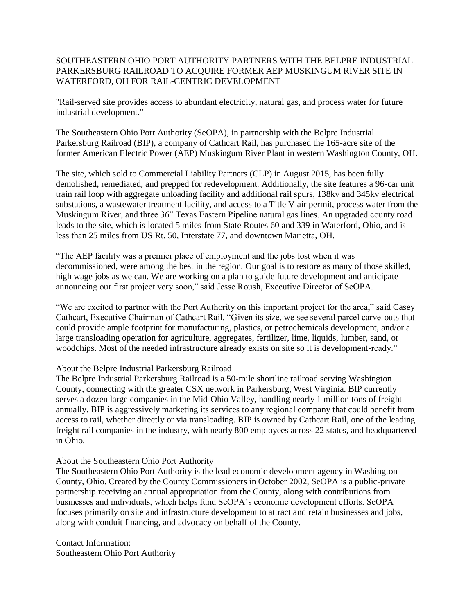## SOUTHEASTERN OHIO PORT AUTHORITY PARTNERS WITH THE BELPRE INDUSTRIAL PARKERSBURG RAILROAD TO ACQUIRE FORMER AEP MUSKINGUM RIVER SITE IN WATERFORD, OH FOR RAIL-CENTRIC DEVELOPMENT

"Rail-served site provides access to abundant electricity, natural gas, and process water for future industrial development."

The Southeastern Ohio Port Authority (SeOPA), in partnership with the Belpre Industrial Parkersburg Railroad (BIP), a company of Cathcart Rail, has purchased the 165-acre site of the former American Electric Power (AEP) Muskingum River Plant in western Washington County, OH.

The site, which sold to Commercial Liability Partners (CLP) in August 2015, has been fully demolished, remediated, and prepped for redevelopment. Additionally, the site features a 96-car unit train rail loop with aggregate unloading facility and additional rail spurs, 138kv and 345kv electrical substations, a wastewater treatment facility, and access to a Title V air permit, process water from the Muskingum River, and three 36" Texas Eastern Pipeline natural gas lines. An upgraded county road leads to the site, which is located 5 miles from State Routes 60 and 339 in Waterford, Ohio, and is less than 25 miles from US Rt. 50, Interstate 77, and downtown Marietta, OH.

"The AEP facility was a premier place of employment and the jobs lost when it was decommissioned, were among the best in the region. Our goal is to restore as many of those skilled, high wage jobs as we can. We are working on a plan to guide future development and anticipate announcing our first project very soon," said Jesse Roush, Executive Director of SeOPA.

"We are excited to partner with the Port Authority on this important project for the area," said Casey Cathcart, Executive Chairman of Cathcart Rail. "Given its size, we see several parcel carve-outs that could provide ample footprint for manufacturing, plastics, or petrochemicals development, and/or a large transloading operation for agriculture, aggregates, fertilizer, lime, liquids, lumber, sand, or woodchips. Most of the needed infrastructure already exists on site so it is development-ready."

About the Belpre Industrial Parkersburg Railroad

The Belpre Industrial Parkersburg Railroad is a 50-mile shortline railroad serving Washington County, connecting with the greater CSX network in Parkersburg, West Virginia. BIP currently serves a dozen large companies in the Mid-Ohio Valley, handling nearly 1 million tons of freight annually. BIP is aggressively marketing its services to any regional company that could benefit from access to rail, whether directly or via transloading. BIP is owned by Cathcart Rail, one of the leading freight rail companies in the industry, with nearly 800 employees across 22 states, and headquartered in Ohio.

## About the Southeastern Ohio Port Authority

The Southeastern Ohio Port Authority is the lead economic development agency in Washington County, Ohio. Created by the County Commissioners in October 2002, SeOPA is a public-private partnership receiving an annual appropriation from the County, along with contributions from businesses and individuals, which helps fund SeOPA's economic development efforts. SeOPA focuses primarily on site and infrastructure development to attract and retain businesses and jobs, along with conduit financing, and advocacy on behalf of the County.

Contact Information: Southeastern Ohio Port Authority